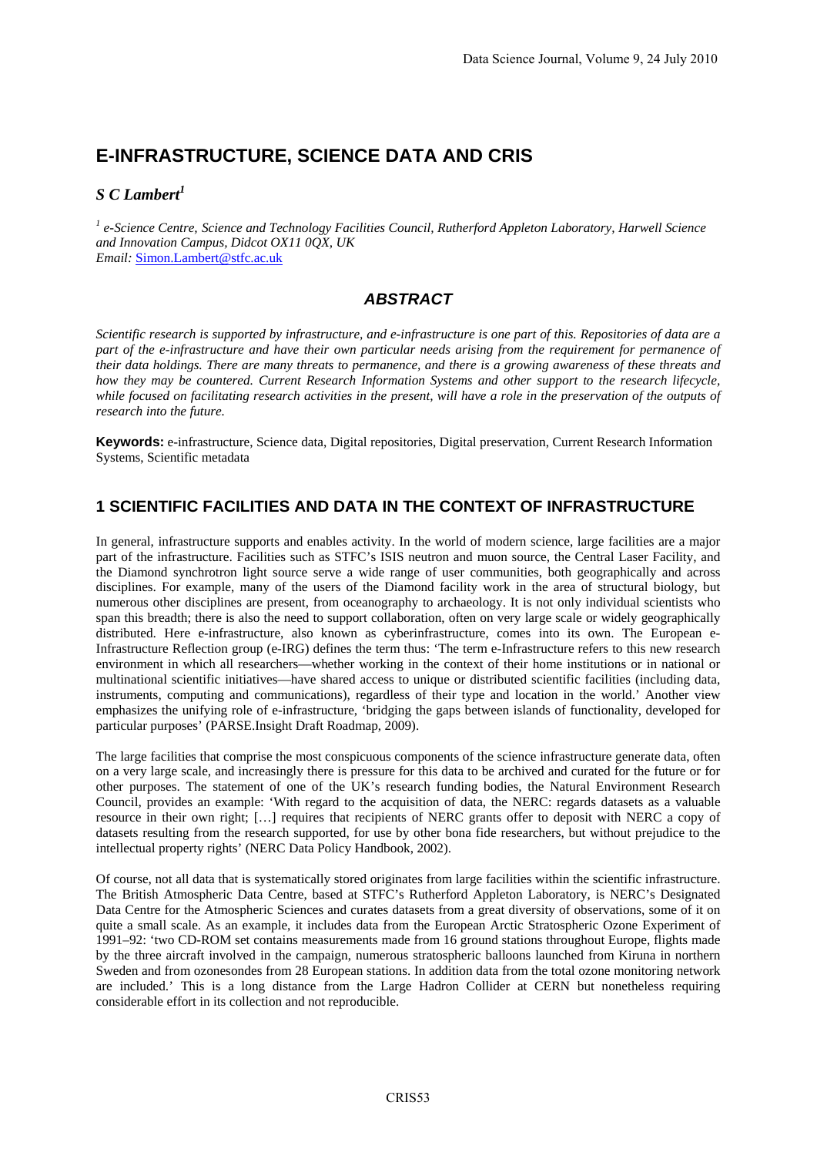# **E-INFRASTRUCTURE, SCIENCE DATA AND CRIS**

#### *S C Lambert1*

<sup>1</sup> e-Science Centre, Science and Technology Facilities Council, Rutherford Appleton Laboratory, Harwell Science *and Innovation Campus, Didcot OX11 0QX, UK Email:* Simon.Lambert@stfc.ac.uk

## *ABSTRACT*

*Scientific research is supported by infrastructure, and e-infrastructure is one part of this. Repositories of data are a part of the e-infrastructure and have their own particular needs arising from the requirement for permanence of their data holdings. There are many threats to permanence, and there is a growing awareness of these threats and how they may be countered. Current Research Information Systems and other support to the research lifecycle, while focused on facilitating research activities in the present, will have a role in the preservation of the outputs of research into the future.* 

**Keywords:** e-infrastructure, Science data, Digital repositories, Digital preservation, Current Research Information Systems, Scientific metadata

## **1 SCIENTIFIC FACILITIES AND DATA IN THE CONTEXT OF INFRASTRUCTURE**

In general, infrastructure supports and enables activity. In the world of modern science, large facilities are a major part of the infrastructure. Facilities such as STFC's ISIS neutron and muon source, the Central Laser Facility, and the Diamond synchrotron light source serve a wide range of user communities, both geographically and across disciplines. For example, many of the users of the Diamond facility work in the area of structural biology, but numerous other disciplines are present, from oceanography to archaeology. It is not only individual scientists who span this breadth; there is also the need to support collaboration, often on very large scale or widely geographically distributed. Here e-infrastructure, also known as cyberinfrastructure, comes into its own. The European e-Infrastructure Reflection group (e-IRG) defines the term thus: 'The term e-Infrastructure refers to this new research environment in which all researchers—whether working in the context of their home institutions or in national or multinational scientific initiatives—have shared access to unique or distributed scientific facilities (including data, instruments, computing and communications), regardless of their type and location in the world.' Another view emphasizes the unifying role of e-infrastructure, 'bridging the gaps between islands of functionality, developed for particular purposes' (PARSE.Insight Draft Roadmap, 2009).

The large facilities that comprise the most conspicuous components of the science infrastructure generate data, often on a very large scale, and increasingly there is pressure for this data to be archived and curated for the future or for other purposes. The statement of one of the UK's research funding bodies, the Natural Environment Research Council, provides an example: 'With regard to the acquisition of data, the NERC: regards datasets as a valuable resource in their own right; […] requires that recipients of NERC grants offer to deposit with NERC a copy of datasets resulting from the research supported, for use by other bona fide researchers, but without prejudice to the intellectual property rights' (NERC Data Policy Handbook, 2002).

Of course, not all data that is systematically stored originates from large facilities within the scientific infrastructure. The British Atmospheric Data Centre, based at STFC's Rutherford Appleton Laboratory, is NERC's Designated Data Centre for the Atmospheric Sciences and curates datasets from a great diversity of observations, some of it on quite a small scale. As an example, it includes data from the European Arctic Stratospheric Ozone Experiment of 1991–92: 'two CD-ROM set contains measurements made from 16 ground stations throughout Europe, flights made by the three aircraft involved in the campaign, numerous stratospheric balloons launched from Kiruna in northern Sweden and from ozonesondes from 28 European stations. In addition data from the total ozone monitoring network are included.' This is a long distance from the Large Hadron Collider at CERN but nonetheless requiring considerable effort in its collection and not reproducible.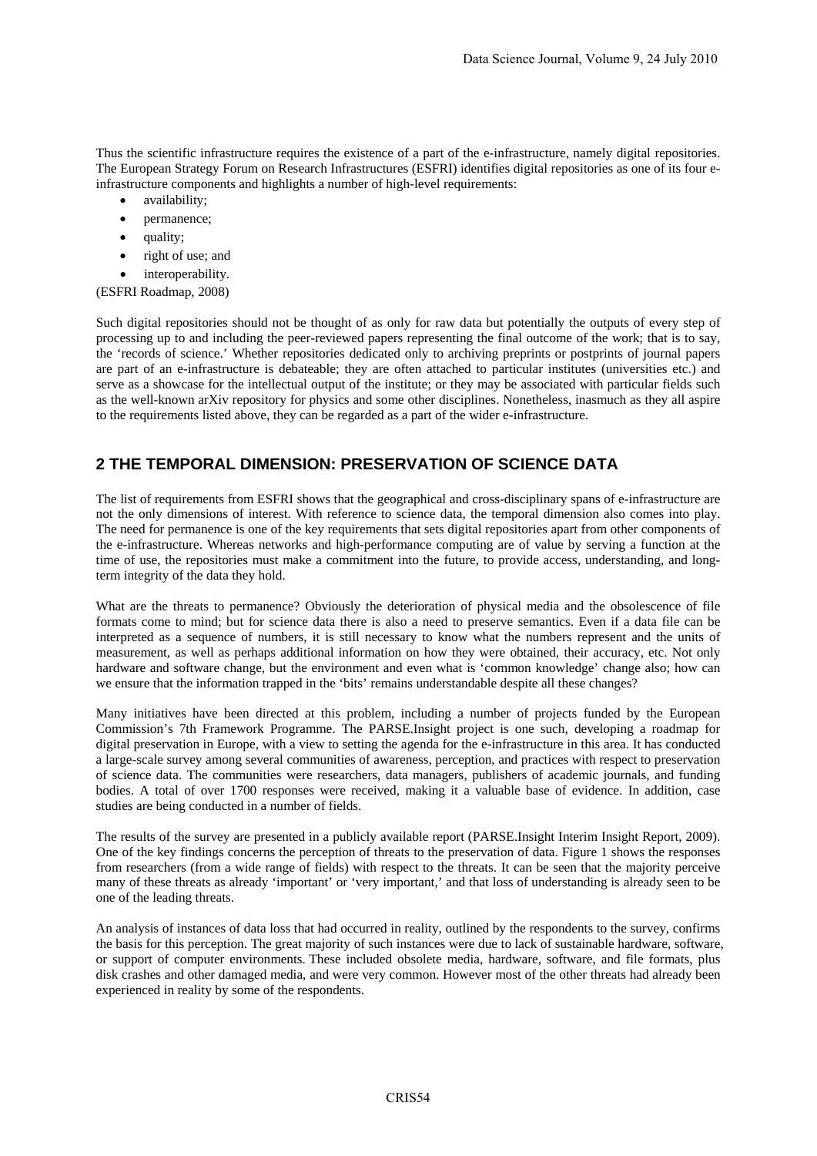Thus the scientific infrastructure requires the existence of a part of the e-infrastructure, namely digital repositories. The European Strategy Forum on Research Infrastructures (ESFRI) identifies digital repositories as one of its four einfrastructure components and highlights a number of high-level requirements:

- availability;
- permanence;
- quality;
- right of use; and
- interoperability.

(ESFRI Roadmap, 2008)

Such digital repositories should not be thought of as only for raw data but potentially the outputs of every step of processing up to and including the peer-reviewed papers representing the final outcome of the work; that is to say, the 'records of science.' Whether repositories dedicated only to archiving preprints or postprints of journal papers are part of an e-infrastructure is debateable; they are often attached to particular institutes (universities etc.) and serve as a showcase for the intellectual output of the institute; or they may be associated with particular fields such as the well-known arXiv repository for physics and some other disciplines. Nonetheless, inasmuch as they all aspire to the requirements listed above, they can be regarded as a part of the wider e-infrastructure.

## **2 THE TEMPORAL DIMENSION: PRESERVATION OF SCIENCE DATA**

The list of requirements from ESFRI shows that the geographical and cross-disciplinary spans of e-infrastructure are not the only dimensions of interest. With reference to science data, the temporal dimension also comes into play. The need for permanence is one of the key requirements that sets digital repositories apart from other components of the e-infrastructure. Whereas networks and high-performance computing are of value by serving a function at the time of use, the repositories must make a commitment into the future, to provide access, understanding, and longterm integrity of the data they hold.

What are the threats to permanence? Obviously the deterioration of physical media and the obsolescence of file formats come to mind; but for science data there is also a need to preserve semantics. Even if a data file can be interpreted as a sequence of numbers, it is still necessary to know what the numbers represent and the units of measurement, as well as perhaps additional information on how they were obtained, their accuracy, etc. Not only hardware and software change, but the environment and even what is 'common knowledge' change also; how can we ensure that the information trapped in the 'bits' remains understandable despite all these changes?

Many initiatives have been directed at this problem, including a number of projects funded by the European Commission's 7th Framework Programme. The PARSE.Insight project is one such, developing a roadmap for digital preservation in Europe, with a view to setting the agenda for the e-infrastructure in this area. It has conducted a large-scale survey among several communities of awareness, perception, and practices with respect to preservation of science data. The communities were researchers, data managers, publishers of academic journals, and funding bodies. A total of over 1700 responses were received, making it a valuable base of evidence. In addition, case studies are being conducted in a number of fields.

The results of the survey are presented in a publicly available report (PARSE.Insight Interim Insight Report, 2009). One of the key findings concerns the perception of threats to the preservation of data. Figure 1 shows the responses from researchers (from a wide range of fields) with respect to the threats. It can be seen that the majority perceive many of these threats as already 'important' or 'very important,' and that loss of understanding is already seen to be one of the leading threats.

An analysis of instances of data loss that had occurred in reality, outlined by the respondents to the survey, confirms the basis for this perception. The great majority of such instances were due to lack of sustainable hardware, software, or support of computer environments. These included obsolete media, hardware, software, and file formats, plus disk crashes and other damaged media, and were very common. However most of the other threats had already been experienced in reality by some of the respondents.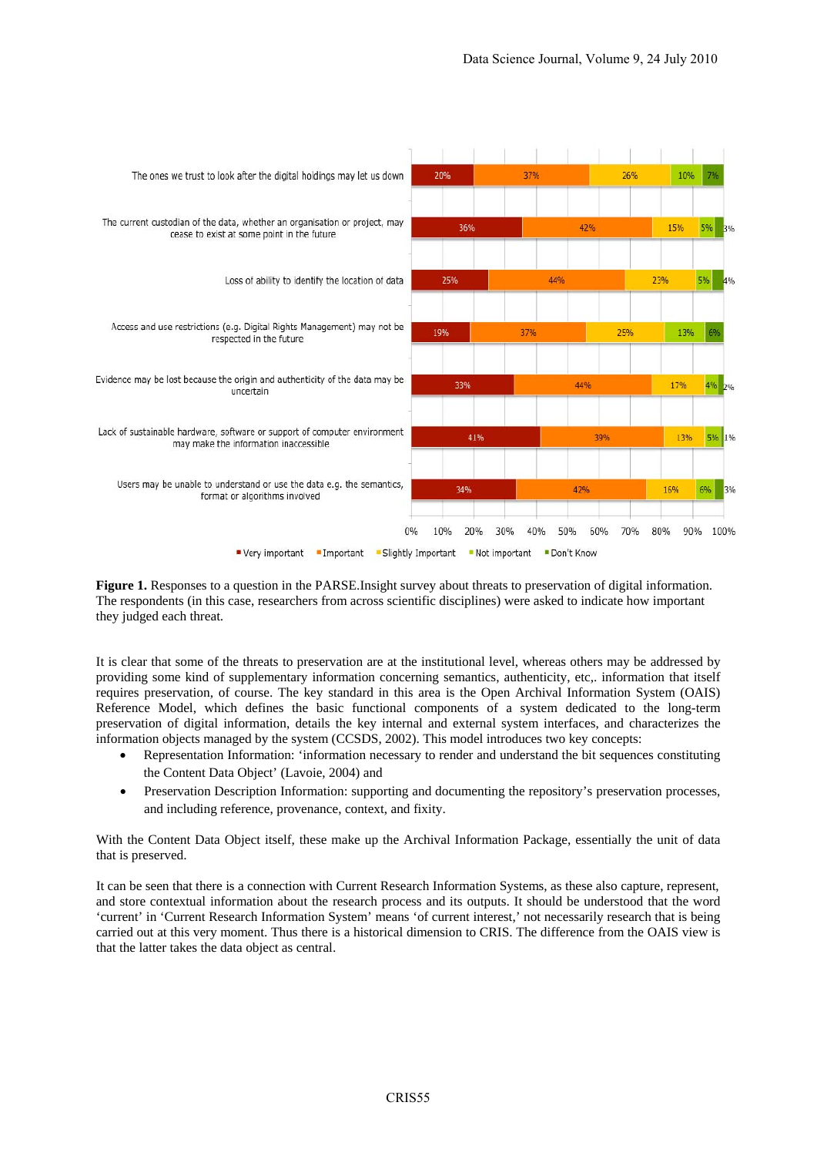

**Figure 1.** Responses to a question in the PARSE.Insight survey about threats to preservation of digital information. The respondents (in this case, researchers from across scientific disciplines) were asked to indicate how important they judged each threat.

It is clear that some of the threats to preservation are at the institutional level, whereas others may be addressed by providing some kind of supplementary information concerning semantics, authenticity, etc,. information that itself requires preservation, of course. The key standard in this area is the Open Archival Information System (OAIS) Reference Model, which defines the basic functional components of a system dedicated to the long-term preservation of digital information, details the key internal and external system interfaces, and characterizes the information objects managed by the system (CCSDS, 2002). This model introduces two key concepts:

- Representation Information: 'information necessary to render and understand the bit sequences constituting the Content Data Object' (Lavoie, 2004) and
- Preservation Description Information: supporting and documenting the repository's preservation processes, and including reference, provenance, context, and fixity.

With the Content Data Object itself, these make up the Archival Information Package, essentially the unit of data that is preserved.

It can be seen that there is a connection with Current Research Information Systems, as these also capture, represent, and store contextual information about the research process and its outputs. It should be understood that the word 'current' in 'Current Research Information System' means 'of current interest,' not necessarily research that is being carried out at this very moment. Thus there is a historical dimension to CRIS. The difference from the OAIS view is that the latter takes the data object as central.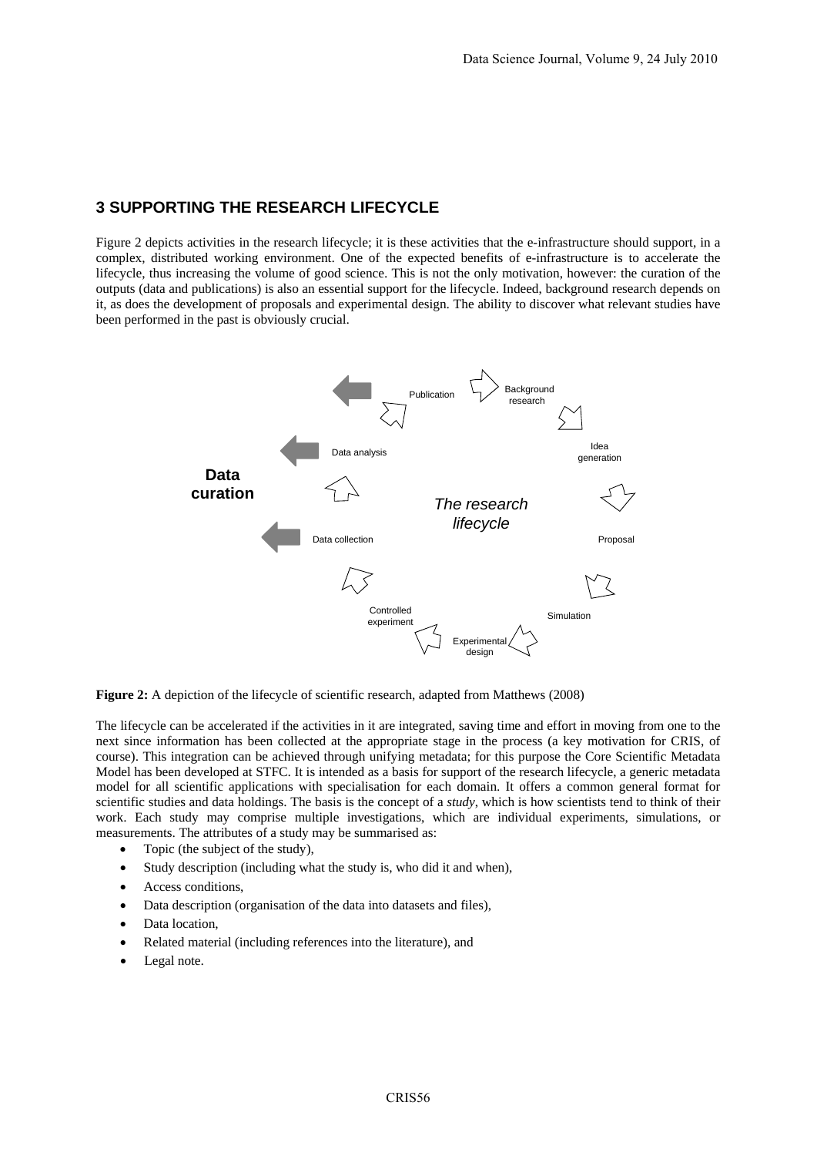#### **3 SUPPORTING THE RESEARCH LIFECYCLE**

Figure 2 depicts activities in the research lifecycle; it is these activities that the e-infrastructure should support, in a complex, distributed working environment. One of the expected benefits of e-infrastructure is to accelerate the lifecycle, thus increasing the volume of good science. This is not the only motivation, however: the curation of the outputs (data and publications) is also an essential support for the lifecycle. Indeed, background research depends on it, as does the development of proposals and experimental design. The ability to discover what relevant studies have been performed in the past is obviously crucial.



**Figure 2:** A depiction of the lifecycle of scientific research, adapted from Matthews (2008)

The lifecycle can be accelerated if the activities in it are integrated, saving time and effort in moving from one to the next since information has been collected at the appropriate stage in the process (a key motivation for CRIS, of course). This integration can be achieved through unifying metadata; for this purpose the Core Scientific Metadata Model has been developed at STFC. It is intended as a basis for support of the research lifecycle, a generic metadata model for all scientific applications with specialisation for each domain. It offers a common general format for scientific studies and data holdings. The basis is the concept of a *study*, which is how scientists tend to think of their work. Each study may comprise multiple investigations, which are individual experiments, simulations, or measurements. The attributes of a study may be summarised as:

- Topic (the subject of the study),
- Study description (including what the study is, who did it and when).
- Access conditions,
- Data description (organisation of the data into datasets and files),
- Data location,
- Related material (including references into the literature), and
- Legal note.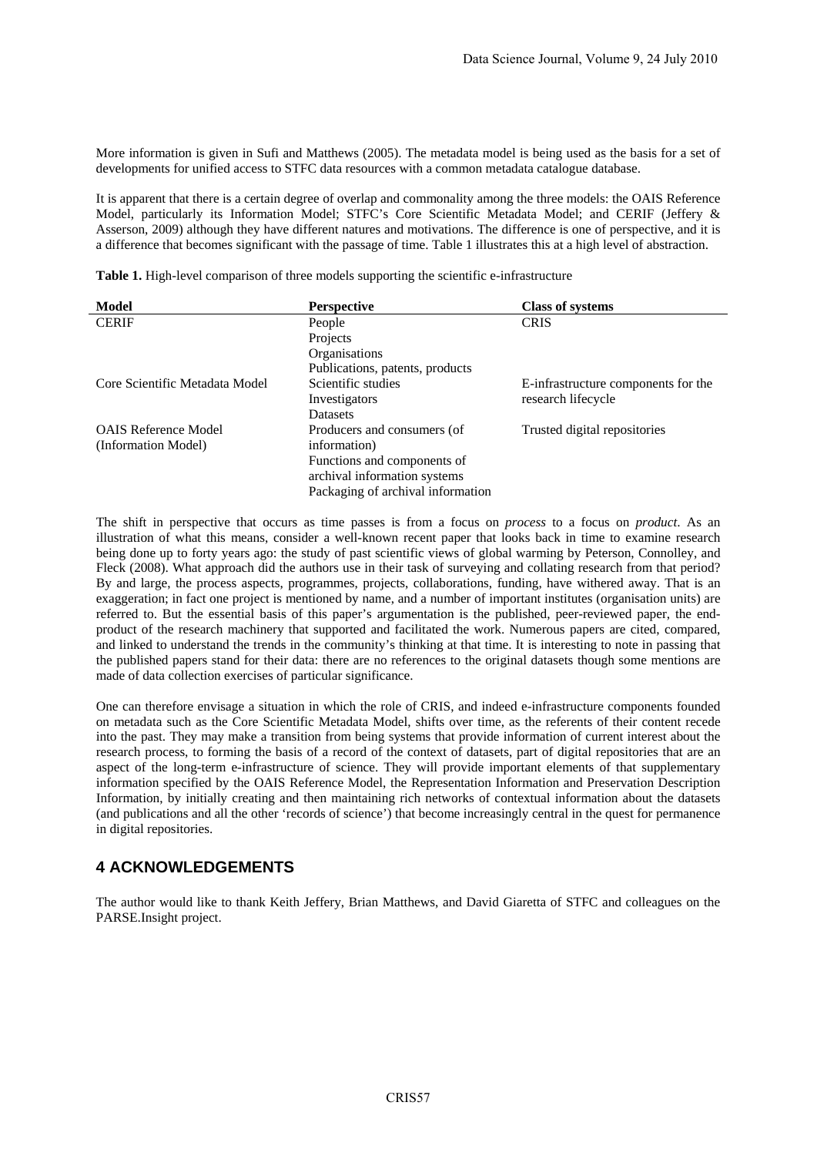More information is given in Sufi and Matthews (2005). The metadata model is being used as the basis for a set of developments for unified access to STFC data resources with a common metadata catalogue database.

It is apparent that there is a certain degree of overlap and commonality among the three models: the OAIS Reference Model, particularly its Information Model; STFC's Core Scientific Metadata Model; and CERIF (Jeffery & Asserson, 2009) although they have different natures and motivations. The difference is one of perspective, and it is a difference that becomes significant with the passage of time. Table 1 illustrates this at a high level of abstraction.

**Table 1.** High-level comparison of three models supporting the scientific e-infrastructure

| <b>Model</b>                   | <b>Perspective</b>                | <b>Class of systems</b>             |
|--------------------------------|-----------------------------------|-------------------------------------|
| <b>CERIF</b>                   | People                            | <b>CRIS</b>                         |
|                                | Projects                          |                                     |
|                                | Organisations                     |                                     |
|                                | Publications, patents, products   |                                     |
| Core Scientific Metadata Model | Scientific studies                | E-infrastructure components for the |
|                                | Investigators                     | research lifecycle                  |
|                                | <b>Datasets</b>                   |                                     |
| <b>OAIS Reference Model</b>    | Producers and consumers (of       | Trusted digital repositories        |
| (Information Model)            | information)                      |                                     |
|                                | Functions and components of       |                                     |
|                                | archival information systems      |                                     |
|                                | Packaging of archival information |                                     |

The shift in perspective that occurs as time passes is from a focus on *process* to a focus on *product*. As an illustration of what this means, consider a well-known recent paper that looks back in time to examine research being done up to forty years ago: the study of past scientific views of global warming by Peterson, Connolley, and Fleck (2008). What approach did the authors use in their task of surveying and collating research from that period? By and large, the process aspects, programmes, projects, collaborations, funding, have withered away. That is an exaggeration; in fact one project is mentioned by name, and a number of important institutes (organisation units) are referred to. But the essential basis of this paper's argumentation is the published, peer-reviewed paper, the endproduct of the research machinery that supported and facilitated the work. Numerous papers are cited, compared, and linked to understand the trends in the community's thinking at that time. It is interesting to note in passing that the published papers stand for their data: there are no references to the original datasets though some mentions are made of data collection exercises of particular significance.

One can therefore envisage a situation in which the role of CRIS, and indeed e-infrastructure components founded on metadata such as the Core Scientific Metadata Model, shifts over time, as the referents of their content recede into the past. They may make a transition from being systems that provide information of current interest about the research process, to forming the basis of a record of the context of datasets, part of digital repositories that are an aspect of the long-term e-infrastructure of science. They will provide important elements of that supplementary information specified by the OAIS Reference Model, the Representation Information and Preservation Description Information, by initially creating and then maintaining rich networks of contextual information about the datasets (and publications and all the other 'records of science') that become increasingly central in the quest for permanence in digital repositories.

## **4 ACKNOWLEDGEMENTS**

The author would like to thank Keith Jeffery, Brian Matthews, and David Giaretta of STFC and colleagues on the PARSE.Insight project.